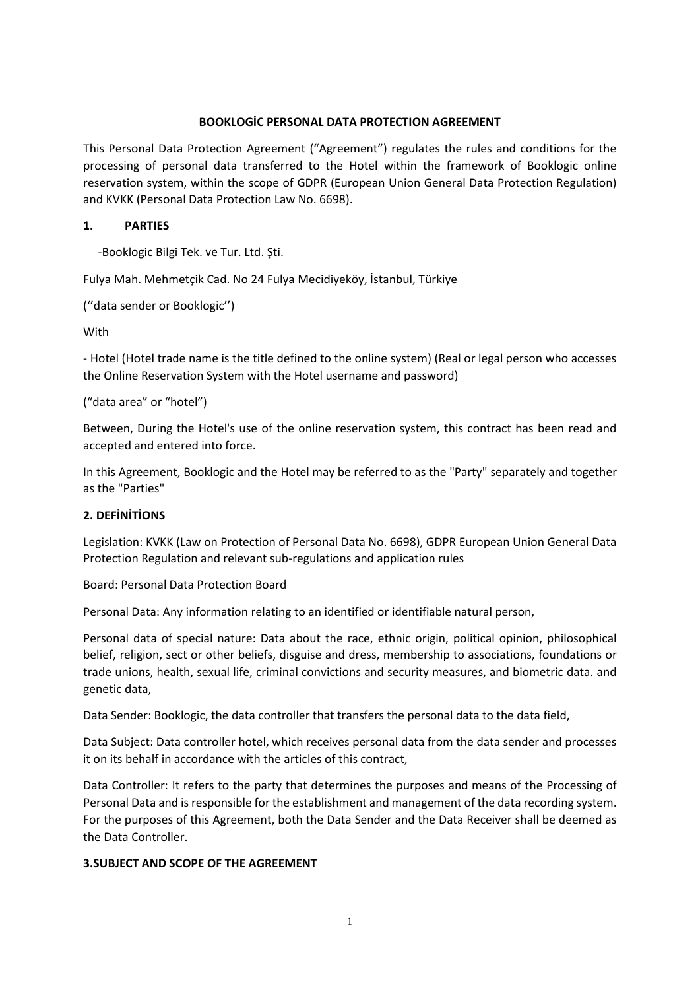### **BOOKLOGİC PERSONAL DATA PROTECTION AGREEMENT**

This Personal Data Protection Agreement ("Agreement") regulates the rules and conditions for the processing of personal data transferred to the Hotel within the framework of Booklogic online reservation system, within the scope of GDPR (European Union General Data Protection Regulation) and KVKK (Personal Data Protection Law No. 6698).

## **1. PARTIES**

-Booklogic Bilgi Tek. ve Tur. Ltd. Şti.

Fulya Mah. Mehmetçik Cad. No 24 Fulya Mecidiyeköy, İstanbul, Türkiye

```
(''data sender or Booklogic'')
```
**With** 

- Hotel (Hotel trade name is the title defined to the online system) (Real or legal person who accesses the Online Reservation System with the Hotel username and password)

("data area" or "hotel")

Between, During the Hotel's use of the online reservation system, this contract has been read and accepted and entered into force.

In this Agreement, Booklogic and the Hotel may be referred to as the "Party" separately and together as the "Parties"

#### **2. DEFİNİTİONS**

Legislation: KVKK (Law on Protection of Personal Data No. 6698), GDPR European Union General Data Protection Regulation and relevant sub-regulations and application rules

Board: Personal Data Protection Board

Personal Data: Any information relating to an identified or identifiable natural person,

Personal data of special nature: Data about the race, ethnic origin, political opinion, philosophical belief, religion, sect or other beliefs, disguise and dress, membership to associations, foundations or trade unions, health, sexual life, criminal convictions and security measures, and biometric data. and genetic data,

Data Sender: Booklogic, the data controller that transfers the personal data to the data field,

Data Subject: Data controller hotel, which receives personal data from the data sender and processes it on its behalf in accordance with the articles of this contract,

Data Controller: It refers to the party that determines the purposes and means of the Processing of Personal Data and is responsible for the establishment and management of the data recording system. For the purposes of this Agreement, both the Data Sender and the Data Receiver shall be deemed as the Data Controller.

#### **3.SUBJECT AND SCOPE OF THE AGREEMENT**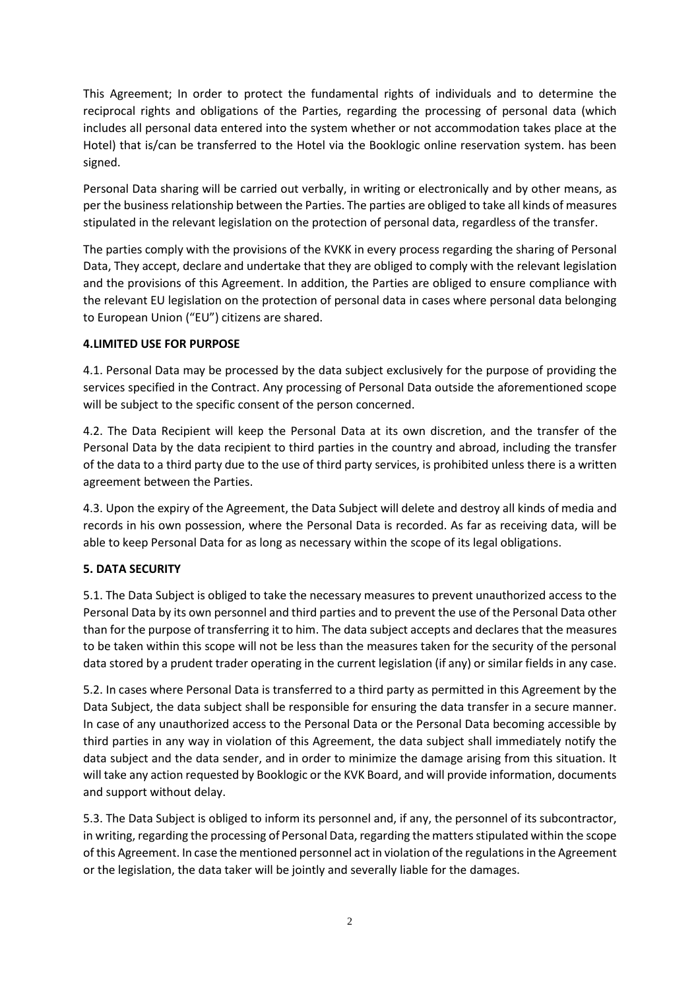This Agreement; In order to protect the fundamental rights of individuals and to determine the reciprocal rights and obligations of the Parties, regarding the processing of personal data (which includes all personal data entered into the system whether or not accommodation takes place at the Hotel) that is/can be transferred to the Hotel via the Booklogic online reservation system. has been signed.

Personal Data sharing will be carried out verbally, in writing or electronically and by other means, as per the business relationship between the Parties. The parties are obliged to take all kinds of measures stipulated in the relevant legislation on the protection of personal data, regardless of the transfer.

The parties comply with the provisions of the KVKK in every process regarding the sharing of Personal Data, They accept, declare and undertake that they are obliged to comply with the relevant legislation and the provisions of this Agreement. In addition, the Parties are obliged to ensure compliance with the relevant EU legislation on the protection of personal data in cases where personal data belonging to European Union ("EU") citizens are shared.

### **4.LIMITED USE FOR PURPOSE**

4.1. Personal Data may be processed by the data subject exclusively for the purpose of providing the services specified in the Contract. Any processing of Personal Data outside the aforementioned scope will be subject to the specific consent of the person concerned.

4.2. The Data Recipient will keep the Personal Data at its own discretion, and the transfer of the Personal Data by the data recipient to third parties in the country and abroad, including the transfer of the data to a third party due to the use of third party services, is prohibited unless there is a written agreement between the Parties.

4.3. Upon the expiry of the Agreement, the Data Subject will delete and destroy all kinds of media and records in his own possession, where the Personal Data is recorded. As far as receiving data, will be able to keep Personal Data for as long as necessary within the scope of its legal obligations.

# **5. DATA SECURITY**

5.1. The Data Subject is obliged to take the necessary measures to prevent unauthorized access to the Personal Data by its own personnel and third parties and to prevent the use of the Personal Data other than for the purpose of transferring it to him. The data subject accepts and declares that the measures to be taken within this scope will not be less than the measures taken for the security of the personal data stored by a prudent trader operating in the current legislation (if any) or similar fields in any case.

5.2. In cases where Personal Data is transferred to a third party as permitted in this Agreement by the Data Subject, the data subject shall be responsible for ensuring the data transfer in a secure manner. In case of any unauthorized access to the Personal Data or the Personal Data becoming accessible by third parties in any way in violation of this Agreement, the data subject shall immediately notify the data subject and the data sender, and in order to minimize the damage arising from this situation. It will take any action requested by Booklogic or the KVK Board, and will provide information, documents and support without delay.

5.3. The Data Subject is obliged to inform its personnel and, if any, the personnel of its subcontractor, in writing, regarding the processing of Personal Data, regarding the matters stipulated within the scope of this Agreement. In case the mentioned personnel act in violation of the regulations in the Agreement or the legislation, the data taker will be jointly and severally liable for the damages.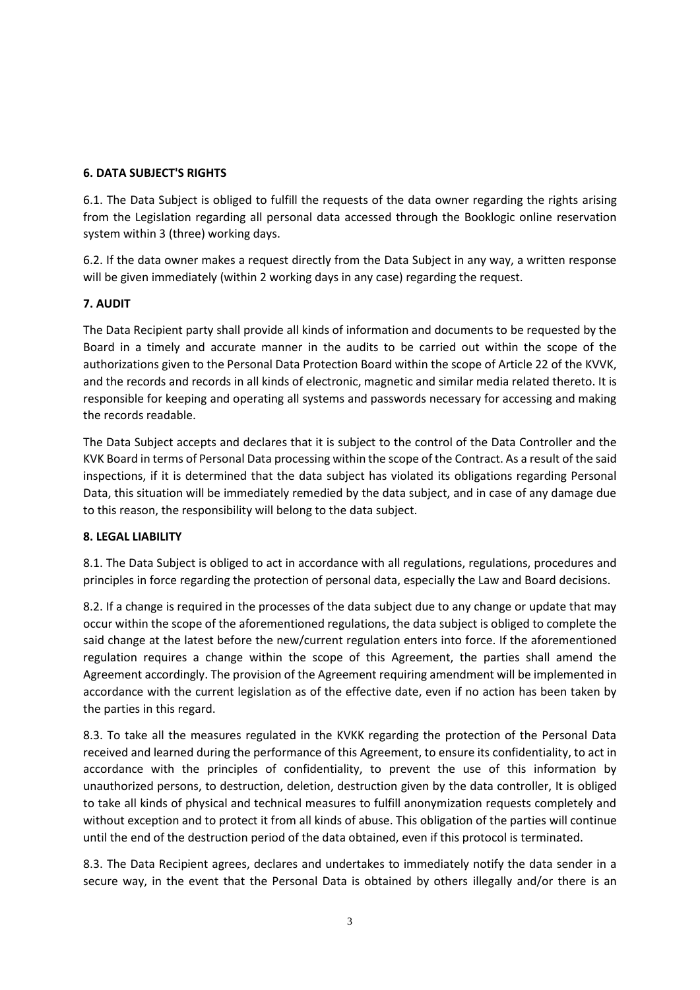## **6. DATA SUBJECT'S RIGHTS**

6.1. The Data Subject is obliged to fulfill the requests of the data owner regarding the rights arising from the Legislation regarding all personal data accessed through the Booklogic online reservation system within 3 (three) working days.

6.2. If the data owner makes a request directly from the Data Subject in any way, a written response will be given immediately (within 2 working days in any case) regarding the request.

# **7. AUDIT**

The Data Recipient party shall provide all kinds of information and documents to be requested by the Board in a timely and accurate manner in the audits to be carried out within the scope of the authorizations given to the Personal Data Protection Board within the scope of Article 22 of the KVVK, and the records and records in all kinds of electronic, magnetic and similar media related thereto. It is responsible for keeping and operating all systems and passwords necessary for accessing and making the records readable.

The Data Subject accepts and declares that it is subject to the control of the Data Controller and the KVK Board in terms of Personal Data processing within the scope of the Contract. As a result of the said inspections, if it is determined that the data subject has violated its obligations regarding Personal Data, this situation will be immediately remedied by the data subject, and in case of any damage due to this reason, the responsibility will belong to the data subject.

# **8. LEGAL LIABILITY**

8.1. The Data Subject is obliged to act in accordance with all regulations, regulations, procedures and principles in force regarding the protection of personal data, especially the Law and Board decisions.

8.2. If a change is required in the processes of the data subject due to any change or update that may occur within the scope of the aforementioned regulations, the data subject is obliged to complete the said change at the latest before the new/current regulation enters into force. If the aforementioned regulation requires a change within the scope of this Agreement, the parties shall amend the Agreement accordingly. The provision of the Agreement requiring amendment will be implemented in accordance with the current legislation as of the effective date, even if no action has been taken by the parties in this regard.

8.3. To take all the measures regulated in the KVKK regarding the protection of the Personal Data received and learned during the performance of this Agreement, to ensure its confidentiality, to act in accordance with the principles of confidentiality, to prevent the use of this information by unauthorized persons, to destruction, deletion, destruction given by the data controller, It is obliged to take all kinds of physical and technical measures to fulfill anonymization requests completely and without exception and to protect it from all kinds of abuse. This obligation of the parties will continue until the end of the destruction period of the data obtained, even if this protocol is terminated.

8.3. The Data Recipient agrees, declares and undertakes to immediately notify the data sender in a secure way, in the event that the Personal Data is obtained by others illegally and/or there is an